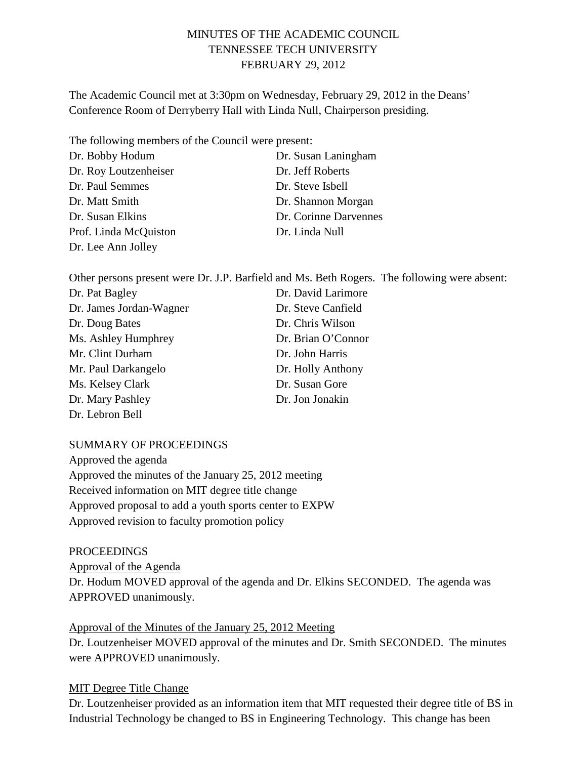## MINUTES OF THE ACADEMIC COUNCIL TENNESSEE TECH UNIVERSITY FEBRUARY 29, 2012

The Academic Council met at 3:30pm on Wednesday, February 29, 2012 in the Deans' Conference Room of Derryberry Hall with Linda Null, Chairperson presiding.

The following members of the Council were present:

| Dr. Bobby Hodum       | Dr. Susan Laningham   |
|-----------------------|-----------------------|
| Dr. Roy Loutzenheiser | Dr. Jeff Roberts      |
| Dr. Paul Semmes       | Dr. Steve Isbell      |
| Dr. Matt Smith        | Dr. Shannon Morgan    |
| Dr. Susan Elkins      | Dr. Corinne Darvennes |
| Prof. Linda McQuiston | Dr. Linda Null        |
| Dr. Lee Ann Jolley    |                       |

Other persons present were Dr. J.P. Barfield and Ms. Beth Rogers. The following were absent:

| Dr. Pat Bagley          | Dr. David Larimore |
|-------------------------|--------------------|
| Dr. James Jordan-Wagner | Dr. Steve Canfield |
| Dr. Doug Bates          | Dr. Chris Wilson   |
| Ms. Ashley Humphrey     | Dr. Brian O'Connor |
| Mr. Clint Durham        | Dr. John Harris    |
| Mr. Paul Darkangelo     | Dr. Holly Anthony  |
| Ms. Kelsey Clark        | Dr. Susan Gore     |
| Dr. Mary Pashley        | Dr. Jon Jonakin    |
| Dr. Lebron Bell         |                    |

SUMMARY OF PROCEEDINGS

Approved the agenda Approved the minutes of the January 25, 2012 meeting Received information on MIT degree title change Approved proposal to add a youth sports center to EXPW Approved revision to faculty promotion policy

**PROCEEDINGS** Approval of the Agenda Dr. Hodum MOVED approval of the agenda and Dr. Elkins SECONDED. The agenda was APPROVED unanimously.

Approval of the Minutes of the January 25, 2012 Meeting Dr. Loutzenheiser MOVED approval of the minutes and Dr. Smith SECONDED. The minutes were APPROVED unanimously.

## MIT Degree Title Change

Dr. Loutzenheiser provided as an information item that MIT requested their degree title of BS in Industrial Technology be changed to BS in Engineering Technology. This change has been